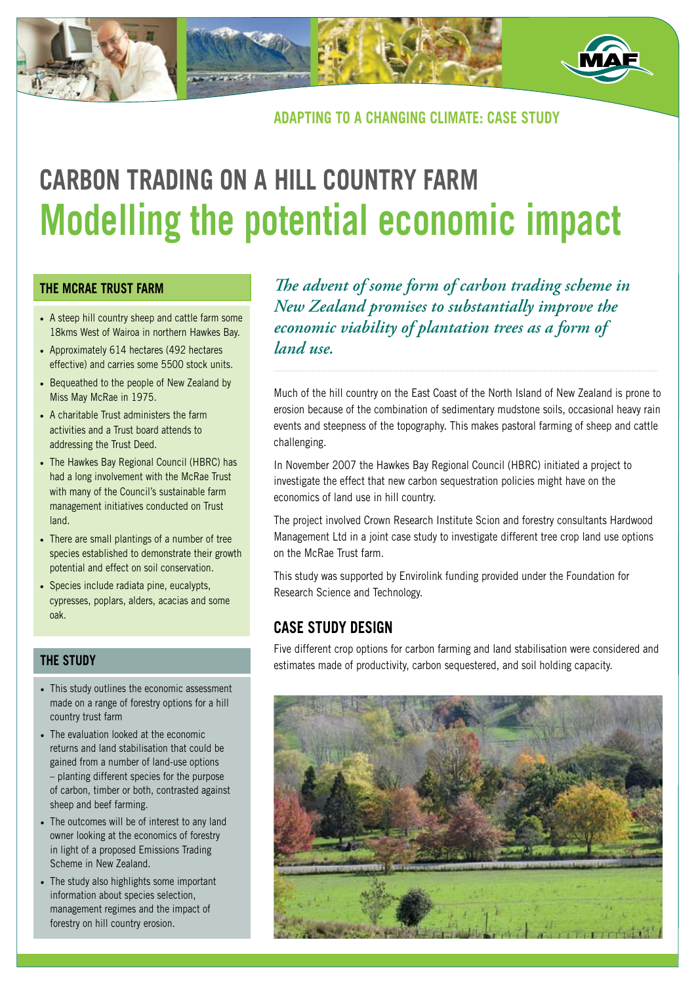

# **adapting to a changing climate: case study**

# **Carbon trading on a hill country farm Modelling the potential economic impact**

### **the Mcrae trust farm**

- A steep hill country sheep and cattle farm some 18kms West of Wairoa in northern Hawkes Bay.
- Approximately 614 hectares (492 hectares effective) and carries some 5500 stock units.
- Bequeathed to the people of New Zealand by Miss May McRae in 1975.
- A charitable Trust administers the farm activities and a Trust board attends to addressing the Trust Deed.
- The Hawkes Bay Regional Council (HBRC) has had a long involvement with the McRae Trust with many of the Council's sustainable farm management initiatives conducted on Trust land.
- There are small plantings of a number of tree species established to demonstrate their growth potential and effect on soil conservation.
- Species include radiata pine, eucalypts, cypresses, poplars, alders, acacias and some oak.

# **The study**

- This study outlines the economic assessment made on a range of forestry options for a hill country trust farm
- The evaluation looked at the economic returns and land stabilisation that could be gained from a number of land-use options – planting different species for the purpose of carbon, timber or both, contrasted against sheep and beef farming.
- The outcomes will be of interest to any land owner looking at the economics of forestry in light of a proposed Emissions Trading Scheme in New Zealand.
- The study also highlights some important information about species selection, management regimes and the impact of forestry on hill country erosion.

*The advent of some form of carbon trading scheme in New Zealand promises to substantially improve the economic viability of plantation trees as a form of land use.*

Much of the hill country on the East Coast of the North Island of New Zealand is prone to erosion because of the combination of sedimentary mudstone soils, occasional heavy rain events and steepness of the topography. This makes pastoral farming of sheep and cattle challenging.

In November 2007 the Hawkes Bay Regional Council (HBRC) initiated a project to investigate the effect that new carbon sequestration policies might have on the economics of land use in hill country.

The project involved Crown Research Institute Scion and forestry consultants Hardwood Management Ltd in a joint case study to investigate different tree crop land use options on the McRae Trust farm.

This study was supported by Envirolink funding provided under the Foundation for Research Science and Technology.

# **Case Study Design**

Five different crop options for carbon farming and land stabilisation were considered and estimates made of productivity, carbon sequestered, and soil holding capacity.

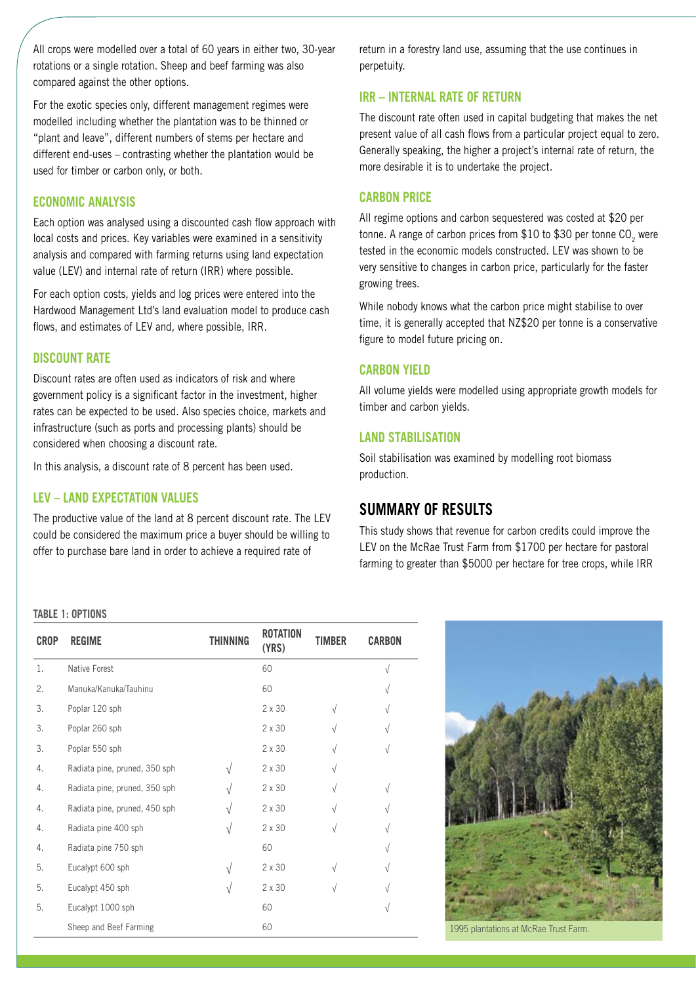All crops were modelled over a total of 60 years in either two, 30-year rotations or a single rotation. Sheep and beef farming was also compared against the other options.

For the exotic species only, different management regimes were modelled including whether the plantation was to be thinned or "plant and leave", different numbers of stems per hectare and different end-uses – contrasting whether the plantation would be used for timber or carbon only, or both.

#### **Economic Analysis**

Each option was analysed using a discounted cash flow approach with local costs and prices. Key variables were examined in a sensitivity analysis and compared with farming returns using land expectation value (LEV) and internal rate of return (IRR) where possible.

For each option costs, yields and log prices were entered into the Hardwood Management Ltd's land evaluation model to produce cash flows, and estimates of LEV and, where possible, IRR.

#### **Discount Rate**

Discount rates are often used as indicators of risk and where government policy is a significant factor in the investment, higher rates can be expected to be used. Also species choice, markets and infrastructure (such as ports and processing plants) should be considered when choosing a discount rate.

In this analysis, a discount rate of 8 percent has been used.

#### **LEV – Land Expectation Values**

The productive value of the land at 8 percent discount rate. The LEV could be considered the maximum price a buyer should be willing to offer to purchase bare land in order to achieve a required rate of

return in a forestry land use, assuming that the use continues in perpetuity.

#### **IRR – Internal Rate of Return**

The discount rate often used in capital budgeting that makes the net present value of all cash flows from a particular project equal to zero. Generally speaking, the higher a project's internal rate of return, the more desirable it is to undertake the project.

#### **Carbon Price**

All regime options and carbon sequestered was costed at \$20 per tonne. A range of carbon prices from  $$10$  to  $$30$  per tonne CO<sub>2</sub> were tested in the economic models constructed. LEV was shown to be very sensitive to changes in carbon price, particularly for the faster growing trees.

While nobody knows what the carbon price might stabilise to over time, it is generally accepted that NZ\$20 per tonne is a conservative figure to model future pricing on.

#### **Carbon Yield**

All volume yields were modelled using appropriate growth models for timber and carbon yields.

#### **Land Stabilisation**

Soil stabilisation was examined by modelling root biomass production.

# **Summary of results**

This study shows that revenue for carbon credits could improve the LEV on the McRae Trust Farm from \$1700 per hectare for pastoral farming to greater than \$5000 per hectare for tree crops, while IRR

#### **Table 1: Options**

| <b>CROP</b> | <b>REGIME</b>                 | THINNING   | <b>ROTATION</b><br>(YRS) | <b>TIMBER</b> | <b>CARBON</b> |
|-------------|-------------------------------|------------|--------------------------|---------------|---------------|
| 1.          | Native Forest                 |            | 60                       |               | $\sqrt{}$     |
| 2.          | Manuka/Kanuka/Tauhinu         |            | 60                       |               | V             |
| 3.          | Poplar 120 sph                |            | $2 \times 30$            | $\sqrt{}$     | V             |
| 3.          | Poplar 260 sph                |            | $2 \times 30$            | V             | $\sqrt{}$     |
| 3.          | Poplar 550 sph                |            | $2 \times 30$            | $\sqrt{}$     | $\sqrt{}$     |
| 4.          | Radiata pine, pruned, 350 sph | ٦l         | $2 \times 30$            | V             |               |
| 4.          | Radiata pine, pruned, 350 sph | $\sqrt{ }$ | $2 \times 30$            | V             | V             |
| 4.          | Radiata pine, pruned, 450 sph | N          | 2 x 30                   | $\sqrt{}$     | $\sqrt{}$     |
| 4.          | Radiata pine 400 sph          | $\sqrt{}$  | $2 \times 30$            | $\sqrt{}$     | V             |
| 4.          | Radiata pine 750 sph          |            | 60                       |               | $\sqrt{}$     |
| 5.          | Eucalypt 600 sph              | ٦I         | $2 \times 30$            | $\sqrt{}$     | V             |
| 5.          | Eucalypt 450 sph              | N          | $2 \times 30$            | V             | V             |
| 5.          | Eucalypt 1000 sph             |            | 60                       |               | V             |
|             | Sheep and Beef Farming        |            | 60                       |               |               |



1995 plantations at McRae Trust Farm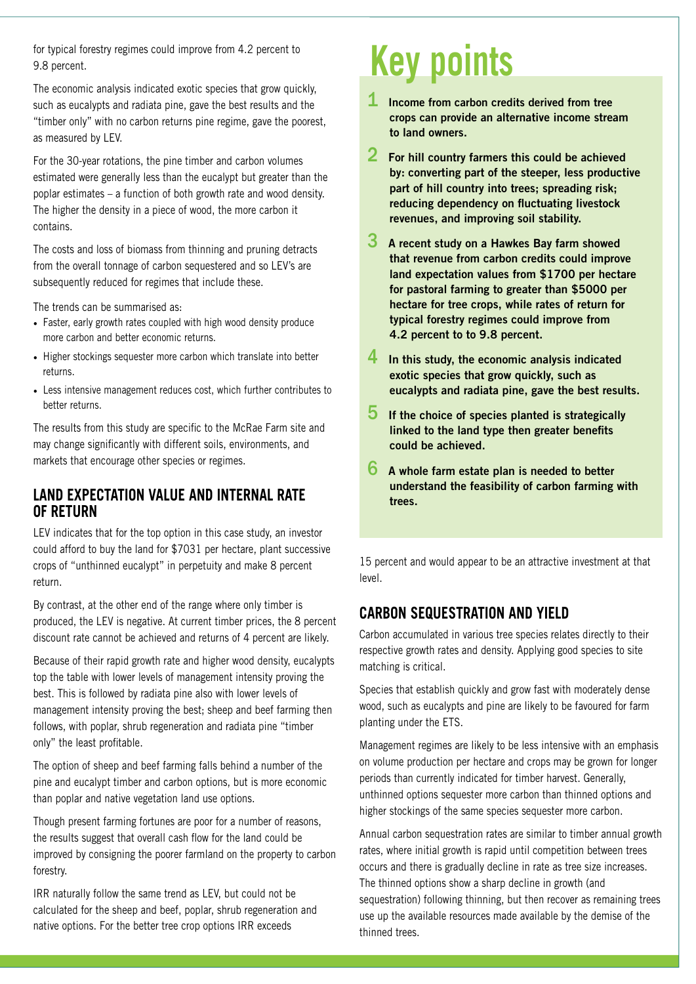for typical forestry regimes could improve from 4.2 percent to 9.8 percent.

The economic analysis indicated exotic species that grow quickly, such as eucalypts and radiata pine, gave the best results and the "timber only" with no carbon returns pine regime, gave the poorest, as measured by LEV.

For the 30-year rotations, the pine timber and carbon volumes estimated were generally less than the eucalypt but greater than the poplar estimates – a function of both growth rate and wood density. The higher the density in a piece of wood, the more carbon it contains.

The costs and loss of biomass from thinning and pruning detracts from the overall tonnage of carbon sequestered and so LEV's are subsequently reduced for regimes that include these.

The trends can be summarised as:

- Faster, early growth rates coupled with high wood density produce more carbon and better economic returns.
- Higher stockings sequester more carbon which translate into better returns.
- Less intensive management reduces cost, which further contributes to better returns.

The results from this study are specific to the McRae Farm site and may change significantly with different soils, environments, and markets that encourage other species or regimes.

# **Land Expectation Value and Internal Rate of Return**

LEV indicates that for the top option in this case study, an investor could afford to buy the land for \$7031 per hectare, plant successive crops of "unthinned eucalypt" in perpetuity and make 8 percent return.

By contrast, at the other end of the range where only timber is produced, the LEV is negative. At current timber prices, the 8 percent discount rate cannot be achieved and returns of 4 percent are likely.

Because of their rapid growth rate and higher wood density, eucalypts top the table with lower levels of management intensity proving the best. This is followed by radiata pine also with lower levels of management intensity proving the best; sheep and beef farming then follows, with poplar, shrub regeneration and radiata pine "timber only" the least profitable.

The option of sheep and beef farming falls behind a number of the pine and eucalypt timber and carbon options, but is more economic than poplar and native vegetation land use options.

Though present farming fortunes are poor for a number of reasons, the results suggest that overall cash flow for the land could be improved by consigning the poorer farmland on the property to carbon forestry.

IRR naturally follow the same trend as LEV, but could not be calculated for the sheep and beef, poplar, shrub regeneration and native options. For the better tree crop options IRR exceeds

# **Key points**

- **1** Income from carbon credits derived from tree crops can provide an alternative income stream to land owners.
- 2 For hill country farmers this could be achieved by: converting part of the steeper, less productive part of hill country into trees; spreading risk; reducing dependency on fluctuating livestock revenues, and improving soil stability.
- $3$  A recent study on a Hawkes Bay farm showed that revenue from carbon credits could improve land expectation values from \$1700 per hectare for pastoral farming to greater than \$5000 per hectare for tree crops, while rates of return for typical forestry regimes could improve from 4.2 percent to to 9.8 percent.
- $\overline{4}$  In this study, the economic analysis indicated exotic species that grow quickly, such as eucalypts and radiata pine, gave the best results.
- $\overline{5}$  If the choice of species planted is strategically linked to the land type then greater benefits could be achieved.
- $6$  A whole farm estate plan is needed to better understand the feasibility of carbon farming with trees.

15 percent and would appear to be an attractive investment at that level.

# **Carbon Sequestration and Yield**

Carbon accumulated in various tree species relates directly to their respective growth rates and density. Applying good species to site matching is critical.

Species that establish quickly and grow fast with moderately dense wood, such as eucalypts and pine are likely to be favoured for farm planting under the ETS.

Management regimes are likely to be less intensive with an emphasis on volume production per hectare and crops may be grown for longer periods than currently indicated for timber harvest. Generally, unthinned options sequester more carbon than thinned options and higher stockings of the same species sequester more carbon.

Annual carbon sequestration rates are similar to timber annual growth rates, where initial growth is rapid until competition between trees occurs and there is gradually decline in rate as tree size increases. The thinned options show a sharp decline in growth (and sequestration) following thinning, but then recover as remaining trees use up the available resources made available by the demise of the thinned trees.